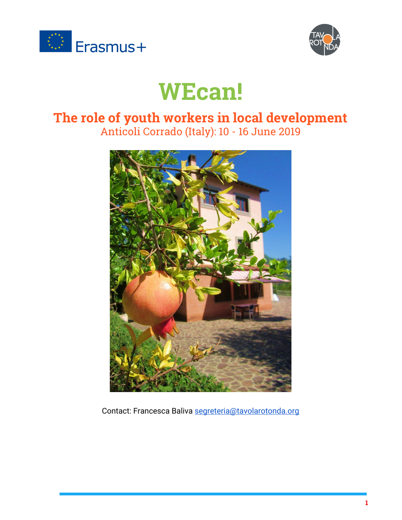



# **WEcan!**

#### **The role of youth workers in local development** Anticoli Corrado (Italy): 10 - 16 June 2019



Contact: Francesca Baliva [segreteria@tavolarotonda.org](mailto:segreteria@tavolarotonda.org)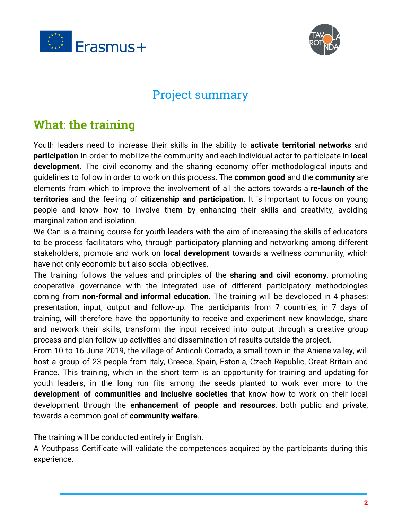



#### Project summary

#### **What: the training**

Youth leaders need to increase their skills in the ability to **activate territorial networks** and **participation** in order to mobilize the community and each individual actor to participate in **local development**. The civil economy and the sharing economy offer methodological inputs and guidelines to follow in order to work on this process. The **common good** and the **community** are elements from which to improve the involvement of all the actors towards a **re-launch of the territories** and the feeling of **citizenship and participation**. It is important to focus on young people and know how to involve them by enhancing their skills and creativity, avoiding marginalization and isolation.

We Can is a training course for youth leaders with the aim of increasing the skills of educators to be process facilitators who, through participatory planning and networking among different stakeholders, promote and work on **local development** towards a wellness community, which have not only economic but also social objectives.

The training follows the values and principles of the **sharing and civil economy**, promoting cooperative governance with the integrated use of different participatory methodologies coming from **non-formal and informal education**. The training will be developed in 4 phases: presentation, input, output and follow-up. The participants from 7 countries, in 7 days of training, will therefore have the opportunity to receive and experiment new knowledge, share and network their skills, transform the input received into output through a creative group process and plan follow-up activities and dissemination of results outside the project.

From 10 to 16 June 2019, the village of Anticoli Corrado, a small town in the Aniene valley, will host a group of 23 people from Italy, Greece, Spain, Estonia, Czech Republic, Great Britain and France. This training, which in the short term is an opportunity for training and updating for youth leaders, in the long run fits among the seeds planted to work ever more to the **development of communities and inclusive societies** that know how to work on their local development through the **enhancement of people and resources**, both public and private, towards a common goal of **community welfare**.

The training will be conducted entirely in English.

A Youthpass Certificate will validate the competences acquired by the participants during this experience.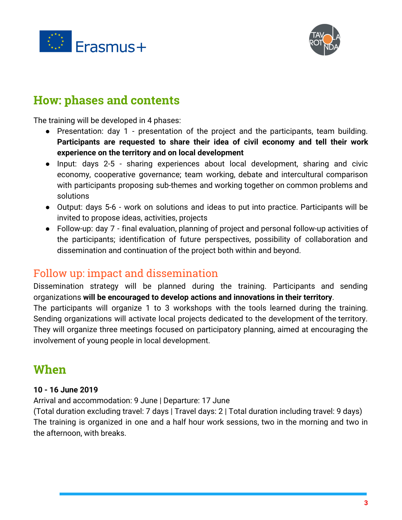



#### **How: phases and contents**

The training will be developed in 4 phases:

- Presentation: day 1 presentation of the project and the participants, team building. **Participants are requested to share their idea of civil economy and tell their work experience on the territory and on local development**
- Input: days 2-5 sharing experiences about local development, sharing and civic economy, cooperative governance; team working, debate and intercultural comparison with participants proposing sub-themes and working together on common problems and solutions
- Output: days 5-6 work on solutions and ideas to put into practice. Participants will be invited to propose ideas, activities, projects
- Follow-up: day 7 final evaluation, planning of project and personal follow-up activities of the participants; identification of future perspectives, possibility of collaboration and dissemination and continuation of the project both within and beyond.

#### Follow up: impact and dissemination

Dissemination strategy will be planned during the training. Participants and sending organizations **will be encouraged to develop actions and innovations in their territory**.

The participants will organize 1 to 3 workshops with the tools learned during the training. Sending organizations will activate local projects dedicated to the development of the territory. They will organize three meetings focused on participatory planning, aimed at encouraging the involvement of young people in local development.

#### **When**

#### **10 - 16 June 2019**

Arrival and accommodation: 9 June | Departure: 17 June

(Total duration excluding travel: 7 days | Travel days: 2 | Total duration including travel: 9 days) The training is organized in one and a half hour work sessions, two in the morning and two in the afternoon, with breaks.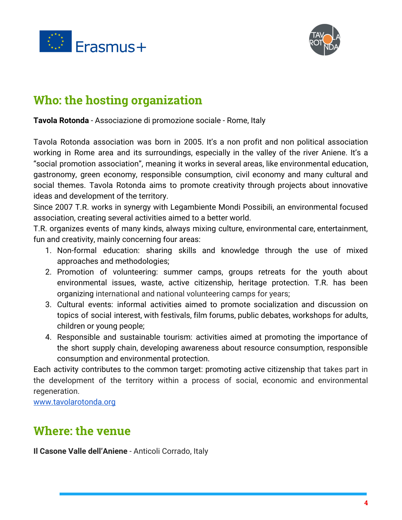



### **Who: the hosting organization**

**Tavola Rotonda** - Associazione di promozione sociale - Rome, Italy

Tavola Rotonda association was born in 2005. It's a non profit and non political association working in Rome area and its surroundings, especially in the valley of the river Aniene. It's a "social promotion association", meaning it works in several areas, like environmental education, gastronomy, green economy, responsible consumption, civil economy and many cultural and social themes. Tavola Rotonda aims to promote creativity through projects about innovative ideas and development of the territory.

Since 2007 T.R. works in synergy with Legambiente Mondi Possibili, an environmental focused association, creating several activities aimed to a better world.

T.R. organizes events of many kinds, always mixing culture, environmental care, entertainment, fun and creativity, mainly concerning four areas:

- 1. Non-formal education: sharing skills and knowledge through the use of mixed approaches and methodologies;
- 2. Promotion of volunteering: summer camps, groups retreats for the youth about environmental issues, waste, active citizenship, heritage protection. T.R. has been organizing international and national volunteering camps for years;
- 3. Cultural events: informal activities aimed to promote socialization and discussion on topics of social interest, with festivals, film forums, public debates, workshops for adults, children or young people;
- 4. Responsible and sustainable tourism: activities aimed at promoting the importance of the short supply chain, developing awareness about resource consumption, responsible consumption and environmental protection.

Each activity contributes to the common target: promoting active citizenship that takes part in the development of the territory within a process of social, economic and environmental regeneration.

[www.tavolarotonda.org](http://www.tavolarotonda.org/)

### **Where: the venue**

**Il Casone Valle dell'Aniene** - Anticoli Corrado, Italy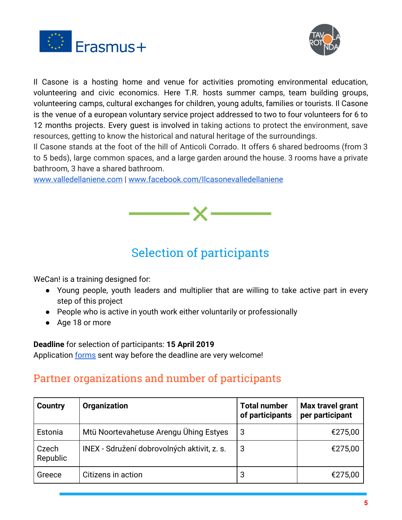



Il Casone is a hosting home and venue for activities promoting environmental education, volunteering and civic economics. Here T.R. hosts summer camps, team building groups, volunteering camps, cultural exchanges for children, young adults, families or tourists. Il Casone is the venue of a european voluntary service project addressed to two to four volunteers for 6 to 12 months projects. Every guest is involved in taking actions to protect the environment, save resources, getting to know the historical and natural heritage of the surroundings.

Il Casone stands at the foot of the hill of Anticoli Corrado. It offers 6 shared bedrooms (from 3 to 5 beds), large common spaces, and a large garden around the house. 3 rooms have a private bathroom, 3 have a shared bathroom.

[www.valledellaniene.com](http://www.valledellaniene.com/) | [www.facebook.com/Ilcasonevalledellaniene](http://www.facebook.com/Ilcasonevalledellaniene)



# Selection of participants

WeCan! is a training designed for:

- Young people, youth leaders and multiplier that are willing to take active part in every step of this project
- People who is active in youth work either voluntarily or professionally
- Age 18 or more

**Deadline** for selection of participants: **15 April 2019** Application **forms** sent way before the deadline are very welcome!

#### Partner organizations and number of participants

| <b>Country</b>    | <b>Organization</b>                         | <b>Total number</b><br>of participants | Max travel grant<br>per participant |
|-------------------|---------------------------------------------|----------------------------------------|-------------------------------------|
| Estonia           | Mtü Noortevahetuse Arengu Ühing Estyes      | 3                                      | €275,00                             |
| Czech<br>Republic | INEX - Sdružení dobrovolných aktivit, z. s. | 3                                      | €275,00                             |
| Greece            | Citizens in action                          | 3                                      | €275,00                             |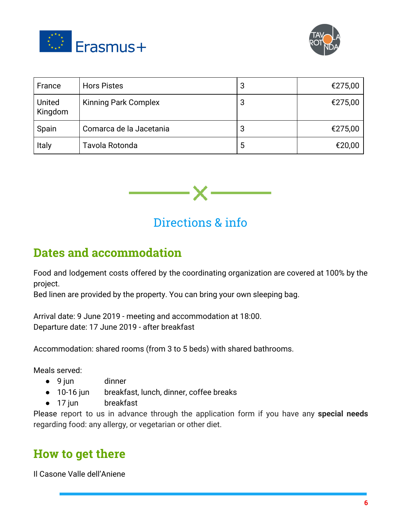



| France            | <b>Hors Pistes</b>          | З | €275,00 |
|-------------------|-----------------------------|---|---------|
| United<br>Kingdom | <b>Kinning Park Complex</b> | 3 | €275,00 |
| Spain             | Comarca de la Jacetania     | З | €275,00 |
| Italy             | Tavola Rotonda              | ხ | €20,00  |



### Directions & info

#### **Dates and accommodation**

Food and lodgement costs offered by the coordinating organization are covered at 100% by the project.

Bed linen are provided by the property. You can bring your own sleeping bag.

Arrival date: 9 June 2019 - meeting and accommodation at 18:00. Departure date: 17 June 2019 - after breakfast

Accommodation: shared rooms (from 3 to 5 beds) with shared bathrooms.

Meals served:

- 9 jun dinner
- 10-16 jun breakfast, lunch, dinner, coffee breaks
- 17 jun breakfast

Please report to us in advance through the application form if you have any **special needs** regarding food: any allergy, or vegetarian or other diet.

#### **How to get there**

Il Casone Valle dell'Aniene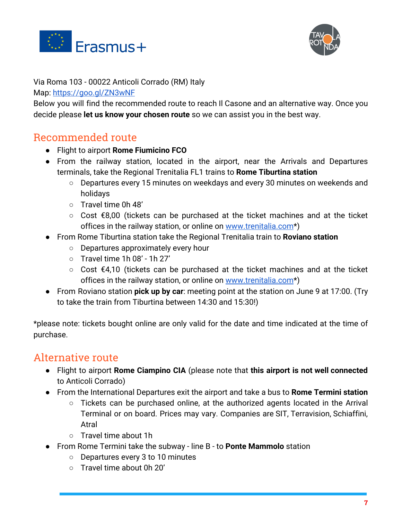



#### Via Roma 103 - 00022 Anticoli Corrado (RM) Italy

Map: <https://goo.gl/ZN3wNF>

Below you will find the recommended route to reach Il Casone and an alternative way. Once you decide please **let us know your chosen route** so we can assist you in the best way.

#### Recommended route

- Flight to airport **Rome Fiumicino FCO**
- From the railway station, located in the airport, near the Arrivals and Departures terminals, take the Regional Trenitalia FL1 trains to **Rome Tiburtina station**
	- Departures every 15 minutes on weekdays and every 30 minutes on weekends and holidays
	- Travel time 0h 48'
	- Cost €8,00 (tickets can be purchased at the ticket machines and at the ticket offices in the railway station, or online on [www.trenitalia.com](http://www.trenitalia.com/)\*)
- From Rome Tiburtina station take the Regional Trenitalia train to **Roviano station**
	- Departures approximately every hour
	- $\circ$  Travel time 1h 08' 1h 27'
	- Cost €4,10 (tickets can be purchased at the ticket machines and at the ticket offices in the railway station, or online on [www.trenitalia.com](http://www.trenitalia.com/)\*)
- From Roviano station **pick up by car**: meeting point at the station on June 9 at 17:00. (Try to take the train from Tiburtina between 14:30 and 15:30!)

\*please note: tickets bought online are only valid for the date and time indicated at the time of purchase.

#### Alternative route

- Flight to airport **Rome Ciampino CIA** (please note that **this airport is not well connected** to Anticoli Corrado)
- From the International Departures exit the airport and take a bus to **Rome Termini station**
	- Tickets can be purchased online, at the authorized agents located in the Arrival Terminal or on board. Prices may vary. Companies are SIT, Terravision, Schiaffini, Atral
	- Travel time about 1h
- From Rome Termini take the subway line B to **Ponte Mammolo** station
	- Departures every 3 to 10 minutes
	- Travel time about 0h 20'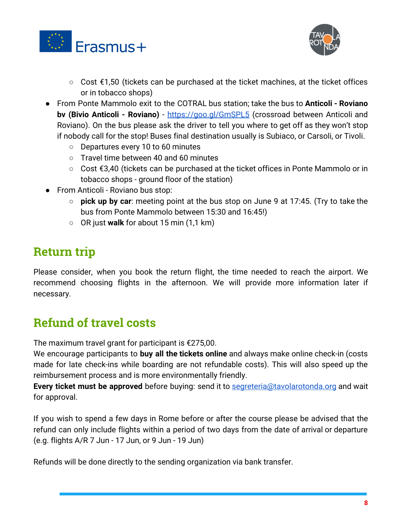



- Cost  $€1,50$  (tickets can be purchased at the ticket machines, at the ticket offices or in tobacco shops)
- From Ponte Mammolo exit to the COTRAL bus station; take the bus to **Anticoli - Roviano bv (Bivio Anticoli - Roviano)** - <https://goo.gl/GmSPL5> (crossroad between Anticoli and Roviano). On the bus please ask the driver to tell you where to get off as they won't stop if nobody call for the stop! Buses final destination usually is Subiaco, or Carsoli, or Tivoli.
	- Departures every 10 to 60 minutes
	- Travel time between 40 and 60 minutes
	- Cost €3,40 (tickets can be purchased at the ticket offices in Ponte Mammolo or in tobacco shops - ground floor of the station)
- From Anticoli Roviano bus stop:
	- **pick up by car**: meeting point at the bus stop on June 9 at 17:45. (Try to take the bus from Ponte Mammolo between 15:30 and 16:45!)
	- OR just **walk** for about 15 min (1,1 km)

# **Return trip**

Please consider, when you book the return flight, the time needed to reach the airport. We recommend choosing flights in the afternoon. We will provide more information later if necessary.

# **Refund of travel costs**

The maximum travel grant for participant is €275,00.

We encourage participants to **buy all the tickets online** and always make online check-in (costs made for late check-ins while boarding are not refundable costs). This will also speed up the reimbursement process and is more environmentally friendly.

**Every ticket must be approved** before buying: send it to [segreteria@tavolarotonda.org](mailto:segreteria@tavolarotonda.org) and wait for approval.

If you wish to spend a few days in Rome before or after the course please be advised that the refund can only include flights within a period of two days from the date of arrival or departure (e.g. flights A/R 7 Jun - 17 Jun, or 9 Jun - 19 Jun)

Refunds will be done directly to the sending organization via bank transfer.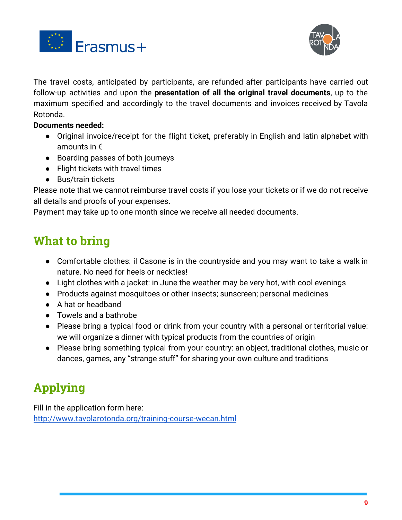



The travel costs, anticipated by participants, are refunded after participants have carried out follow-up activities and upon the **presentation of all the original travel documents**, up to the maximum specified and accordingly to the travel documents and invoices received by Tavola Rotonda.

#### **Documents needed:**

- Original invoice/receipt for the flight ticket, preferably in English and latin alphabet with amounts in €
- Boarding passes of both journeys
- Flight tickets with travel times
- Bus/train tickets

Please note that we cannot reimburse travel costs if you lose your tickets or if we do not receive all details and proofs of your expenses.

Payment may take up to one month since we receive all needed documents.

### **What to bring**

- Comfortable clothes: il Casone is in the countryside and you may want to take a walk in nature. No need for heels or neckties!
- Light clothes with a jacket: in June the weather may be very hot, with cool evenings
- Products against mosquitoes or other insects; sunscreen; personal medicines
- A hat or headband
- Towels and a bathrobe
- Please bring a typical food or drink from your country with a personal or territorial value: we will organize a dinner with typical products from the countries of origin
- Please bring something typical from your country: an object, traditional clothes, music or dances, games, any "strange stuff" for sharing your own culture and traditions

# **Applying**

Fill in the application form here: <http://www.tavolarotonda.org/training-course-wecan.html>